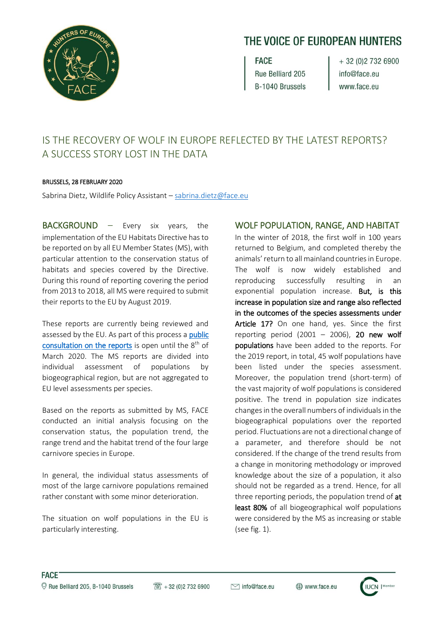

# THE VOICE OF EUROPEAN HUNTERS

**FACE** Rue Belliard 205 B-1040 Brussels  $+32(0)27326900$ info@face.eu www.face.eu

### IS THE RECOVERY OF WOLF IN EUROPE REFLECTED BY THE LATEST REPORTS? A SUCCESS STORY LOST IN THE DATA

#### BRUSSELS, 28 FEBRUARY 2020

Sabrina Dietz, Wildlife Policy Assistant – [sabrina.dietz@face.eu](mailto:sabrina.dietz@face.eu)

BACKGROUND – Every six years, the implementation of the EU Habitats Directive has to be reported on by all EU Member States (MS), with particular attention to the conservation status of habitats and species covered by the Directive. During this round of reporting covering the period from 2013 to 2018, all MS were required to submit their reports to the EU by August 2019.

These reports are currently being reviewed and assessed by the EU. As part of this process a **public** [consultation on the reports](https://nature-art17.eionet.europa.eu/article17/reports2012/static/documents/Biogeographical%20assessment%20public.pdf) is open until the  $8<sup>th</sup>$  of March 2020. The MS reports are divided into individual assessment of populations by biogeographical region, but are not aggregated to EU level assessments per species.

Based on the reports as submitted by MS, FACE conducted an initial analysis focusing on the conservation status, the population trend, the range trend and the habitat trend of the four large carnivore species in Europe.

In general, the individual status assessments of most of the large carnivore populations remained rather constant with some minor deterioration.

The situation on wolf populations in the EU is particularly interesting.

**FACE** 

### WOLF POPULATION, RANGE, AND HABITAT

In the winter of 2018, the first wolf in 100 years returned to Belgium, and completed thereby the animals' return to all mainland countries in Europe. The wolf is now widely established and reproducing successfully resulting in an exponential population increase. But, is this increase in population size and range also reflected in the outcomes of the species assessments under Article 17? On one hand, yes. Since the first reporting period (2001 - 2006), 20 new wolf populations have been added to the reports. For the 2019 report, in total, 45 wolf populations have been listed under the species assessment. Moreover, the population trend (short-term) of the vast majority of wolf populations is considered positive. The trend in population size indicates changes in the overall numbers of individuals in the biogeographical populations over the reported period. Fluctuations are not a directional change of a parameter, and therefore should be not considered. If the change of the trend results from a change in monitoring methodology or improved knowledge about the size of a population, it also should not be regarded as a trend. Hence, for all three reporting periods, the population trend of at least 80% of all biogeographical wolf populations were considered by the MS as increasing or stable (see fig. 1).

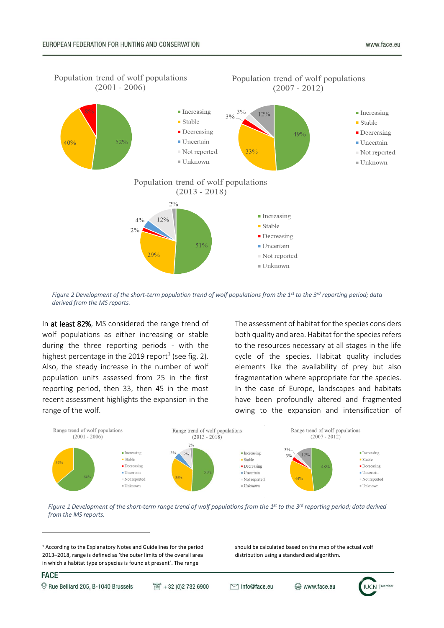

*Figure 2 Development of the short-term population trend of wolf populations from the 1st to the 3rd reporting period; data derived from the MS reports.*

In at least 82%, MS considered the range trend of wolf populations as either increasing or stable during the three reporting periods - with the highest percentage in the 2019 report<sup>1</sup> (see fig. 2). Also, the steady increase in the number of wolf population units assessed from 25 in the first reporting period, then 33, then 45 in the most recent assessment highlights the expansion in the range of the wolf.

The assessment of habitat for the species considers both quality and area. Habitat for the species refers to the resources necessary at all stages in the life cycle of the species. Habitat quality includes elements like the availability of prey but also fragmentation where appropriate for the species. In the case of Europe, landscapes and habitats have been profoundly altered and fragmented owing to the expansion and intensification of





<sup>1</sup> According to the Explanatory Notes and Guidelines for the period 2013–2018, range is defined as 'the outer limits of the overall area in which a habitat type or species is found at present'. The range

should be calculated based on the map of the actual wolf distribution using a standardized algorithm.

## **FACE**

 $\overline{\phantom{a}}$ 

Rue Belliard 205, B-1040 Brussels

 $\sqrt{6}$  + 32 (0) 2 732 6900

 $\triangleright$  info@face.eu

www.face.eu

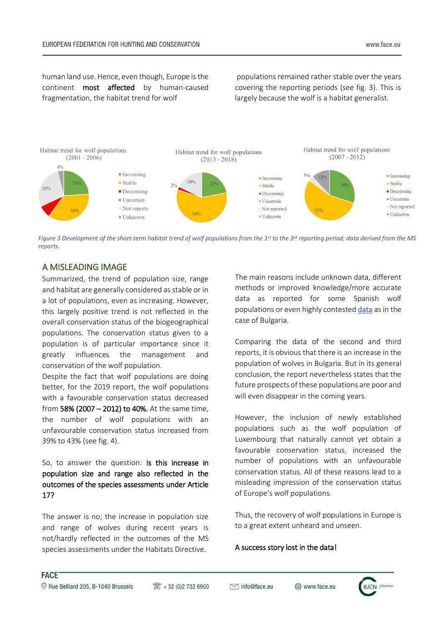human land use. Hence, even though, Europe is the continent most affected by human-caused fragmentation, the habitat trend for wolf

populations remained rather stable over the years covering the reporting periods (see fig. 3). This is largely because the wolf is a habitat generalist.



*Figure 3 Development of the short-term habitat trend of wolf populations from the 1st to the 3rd reporting period; data derived from the MS reports.*

### A MISLEADING IMAGE

Summarized, the trend of population size, range and habitat are generally considered as stable or in a lot of populations, even as increasing. However, this largely positive trend is not reflected in the overall conservation status of the biogeographical populations. The conservation status given to a population is of particular importance since it greatly influences the management and conservation of the wolf population.

Despite the fact that wolf populations are doing better, for the 2019 report, the wolf populations with a favourable conservation status decreased from 58% (2007 – 2012) to 40%. At the same time, the number of wolf populations with an unfavourable conservation status increased from 39% to 43% (see fig. 4).

So, to answer the question: Is this increase in population size and range also reflected in the outcomes of the species assessments under Article 17?

The answer is no; the increase in population size and range of wolves during recent years is not/hardly reflected in the outcomes of the MS species assessments under the Habitats Directive.

The main reasons include unknown data, different methods or improved knowledge/more accurate data as reported for some Spanish wolf populations or even highly contested [data](https://www.euractiv.com/section/justice-home-affairs/news/counting-wolves-in-bulgaria-with-eu-money/) as in the case of Bulgaria.

Comparing the data of the second and third reports, it is obvious that there is an increase in the population of wolves in Bulgaria. But in its general conclusion, the report nevertheless states that the future prospects of these populations are poor and will even disappear in the coming years.

However, the inclusion of newly established populations such as the wolf population of Luxembourg that naturally cannot yet obtain a favourable conservation status, increased the number of populations with an unfavourable conservation status. All of these reasons lead to a misleading impression of the conservation status of Europe's wolf populations.

Thus, the recovery of wolf populations in Europe is to a great extent unheard and unseen.

#### A success story lost in the data!